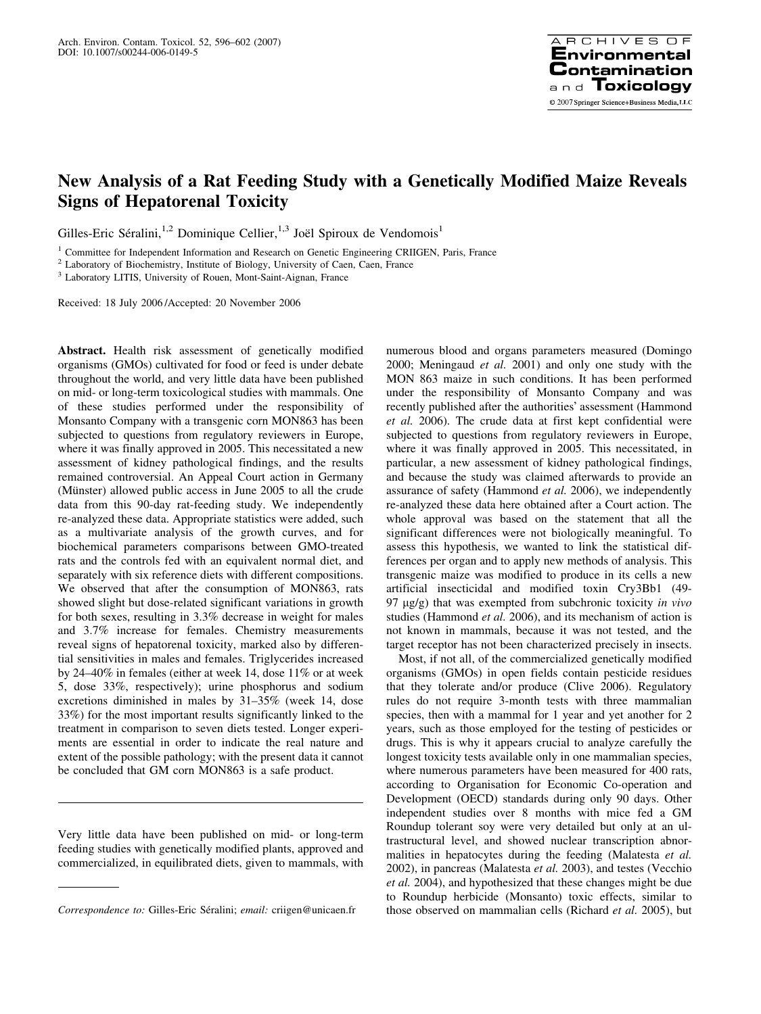# New Analysis of a Rat Feeding Study with a Genetically Modified Maize Reveals Signs of Hepatorenal Toxicity

Gilles-Eric Séralini,<sup>1,2</sup> Dominique Cellier,<sup>1,3</sup> Joël Spiroux de Vendomois<sup>1</sup>

<sup>1</sup> Committee for Independent Information and Research on Genetic Engineering CRIIGEN, Paris, France

<sup>2</sup> Laboratory of Biochemistry, Institute of Biology, University of Caen, Caen, France

<sup>3</sup> Laboratory LITIS, University of Rouen, Mont-Saint-Aignan, France

Received: 18 July 2006 /Accepted: 20 November 2006

Abstract. Health risk assessment of genetically modified organisms (GMOs) cultivated for food or feed is under debate throughout the world, and very little data have been published on mid- or long-term toxicological studies with mammals. One of these studies performed under the responsibility of Monsanto Company with a transgenic corn MON863 has been subjected to questions from regulatory reviewers in Europe, where it was finally approved in 2005. This necessitated a new assessment of kidney pathological findings, and the results remained controversial. An Appeal Court action in Germany (Münster) allowed public access in June 2005 to all the crude data from this 90-day rat-feeding study. We independently re-analyzed these data. Appropriate statistics were added, such as a multivariate analysis of the growth curves, and for biochemical parameters comparisons between GMO-treated rats and the controls fed with an equivalent normal diet, and separately with six reference diets with different compositions. We observed that after the consumption of MON863, rats showed slight but dose-related significant variations in growth for both sexes, resulting in 3.3% decrease in weight for males and 3.7% increase for females. Chemistry measurements reveal signs of hepatorenal toxicity, marked also by differential sensitivities in males and females. Triglycerides increased by 24–40% in females (either at week 14, dose 11% or at week 5, dose 33%, respectively); urine phosphorus and sodium excretions diminished in males by 31–35% (week 14, dose 33%) for the most important results significantly linked to the treatment in comparison to seven diets tested. Longer experiments are essential in order to indicate the real nature and extent of the possible pathology; with the present data it cannot be concluded that GM corn MON863 is a safe product.

Very little data have been published on mid- or long-term feeding studies with genetically modified plants, approved and commercialized, in equilibrated diets, given to mammals, with

numerous blood and organs parameters measured (Domingo 2000; Meningaud et al. 2001) and only one study with the MON 863 maize in such conditions. It has been performed under the responsibility of Monsanto Company and was recently published after the authorities' assessment (Hammond et al. 2006). The crude data at first kept confidential were subjected to questions from regulatory reviewers in Europe, where it was finally approved in 2005. This necessitated, in particular, a new assessment of kidney pathological findings, and because the study was claimed afterwards to provide an assurance of safety (Hammond et al. 2006), we independently re-analyzed these data here obtained after a Court action. The whole approval was based on the statement that all the significant differences were not biologically meaningful. To assess this hypothesis, we wanted to link the statistical differences per organ and to apply new methods of analysis. This transgenic maize was modified to produce in its cells a new artificial insecticidal and modified toxin Cry3Bb1 (49- 97  $\mu$ g/g) that was exempted from subchronic toxicity in vivo studies (Hammond *et al.* 2006), and its mechanism of action is not known in mammals, because it was not tested, and the target receptor has not been characterized precisely in insects.

Most, if not all, of the commercialized genetically modified organisms (GMOs) in open fields contain pesticide residues that they tolerate and/or produce (Clive 2006). Regulatory rules do not require 3-month tests with three mammalian species, then with a mammal for 1 year and yet another for 2 years, such as those employed for the testing of pesticides or drugs. This is why it appears crucial to analyze carefully the longest toxicity tests available only in one mammalian species, where numerous parameters have been measured for 400 rats, according to Organisation for Economic Co-operation and Development (OECD) standards during only 90 days. Other independent studies over 8 months with mice fed a GM Roundup tolerant soy were very detailed but only at an ultrastructural level, and showed nuclear transcription abnormalities in hepatocytes during the feeding (Malatesta et al. 2002), in pancreas (Malatesta et al. 2003), and testes (Vecchio et al. 2004), and hypothesized that these changes might be due to Roundup herbicide (Monsanto) toxic effects, similar to Correspondence to: Gilles-Eric Séralini; email: criigen@unicaen.fr those observed on mammalian cells (Richard et al. 2005), but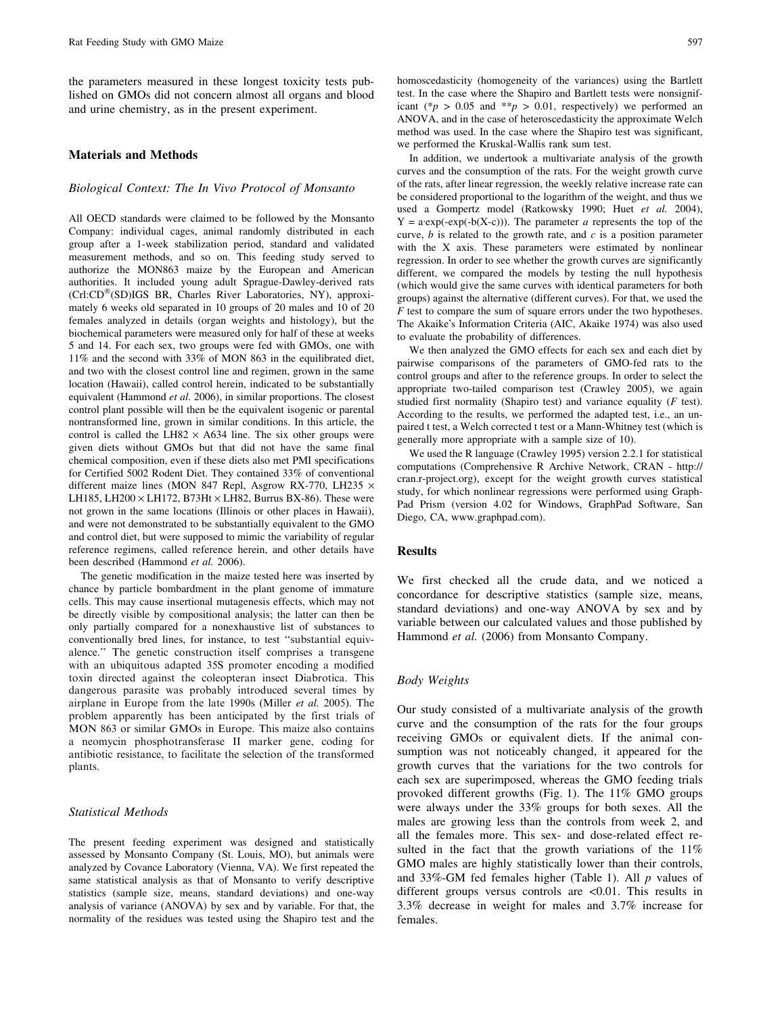the parameters measured in these longest toxicity tests published on GMOs did not concern almost all organs and blood and urine chemistry, as in the present experiment.

### Materials and Methods

## Biological Context: The In Vivo Protocol of Monsanto

All OECD standards were claimed to be followed by the Monsanto Company: individual cages, animal randomly distributed in each group after a 1-week stabilization period, standard and validated measurement methods, and so on. This feeding study served to authorize the MON863 maize by the European and American authorities. It included young adult Sprague-Dawley-derived rats  $(Ch:CD^{\circledR}(SD)IGS$  BR, Charles River Laboratories, NY), approximately 6 weeks old separated in 10 groups of 20 males and 10 of 20 females analyzed in details (organ weights and histology), but the biochemical parameters were measured only for half of these at weeks 5 and 14. For each sex, two groups were fed with GMOs, one with 11% and the second with 33% of MON 863 in the equilibrated diet, and two with the closest control line and regimen, grown in the same location (Hawaii), called control herein, indicated to be substantially equivalent (Hammond et al. 2006), in similar proportions. The closest control plant possible will then be the equivalent isogenic or parental nontransformed line, grown in similar conditions. In this article, the control is called the LH82  $\times$  A634 line. The six other groups were given diets without GMOs but that did not have the same final chemical composition, even if these diets also met PMI specifications for Certified 5002 Rodent Diet. They contained 33% of conventional different maize lines (MON 847 Repl, Asgrow RX-770, LH235  $\times$ LH185, LH200  $\times$  LH172, B73Ht  $\times$  LH82, Burrus BX-86). These were not grown in the same locations (Illinois or other places in Hawaii), and were not demonstrated to be substantially equivalent to the GMO and control diet, but were supposed to mimic the variability of regular reference regimens, called reference herein, and other details have been described (Hammond et al. 2006).

The genetic modification in the maize tested here was inserted by chance by particle bombardment in the plant genome of immature cells. This may cause insertional mutagenesis effects, which may not be directly visible by compositional analysis; the latter can then be only partially compared for a nonexhaustive list of substances to conventionally bred lines, for instance, to test ''substantial equivalence.'' The genetic construction itself comprises a transgene with an ubiquitous adapted 35S promoter encoding a modified toxin directed against the coleopteran insect Diabrotica. This dangerous parasite was probably introduced several times by airplane in Europe from the late 1990s (Miller et al. 2005). The problem apparently has been anticipated by the first trials of MON 863 or similar GMOs in Europe. This maize also contains a neomycin phosphotransferase II marker gene, coding for antibiotic resistance, to facilitate the selection of the transformed plants.

# Statistical Methods

The present feeding experiment was designed and statistically assessed by Monsanto Company (St. Louis, MO), but animals were analyzed by Covance Laboratory (Vienna, VA). We first repeated the same statistical analysis as that of Monsanto to verify descriptive statistics (sample size, means, standard deviations) and one-way analysis of variance (ANOVA) by sex and by variable. For that, the normality of the residues was tested using the Shapiro test and the homoscedasticity (homogeneity of the variances) using the Bartlett test. In the case where the Shapiro and Bartlett tests were nonsignificant (\* $p > 0.05$  and \*\* $p > 0.01$ , respectively) we performed an ANOVA, and in the case of heteroscedasticity the approximate Welch method was used. In the case where the Shapiro test was significant, we performed the Kruskal-Wallis rank sum test.

In addition, we undertook a multivariate analysis of the growth curves and the consumption of the rats. For the weight growth curve of the rats, after linear regression, the weekly relative increase rate can be considered proportional to the logarithm of the weight, and thus we used a Gompertz model (Ratkowsky 1990; Huet et al. 2004),  $Y = a \exp(-\exp(-b(X-c)))$ . The parameter a represents the top of the curve,  $b$  is related to the growth rate, and  $c$  is a position parameter with the X axis. These parameters were estimated by nonlinear regression. In order to see whether the growth curves are significantly different, we compared the models by testing the null hypothesis (which would give the same curves with identical parameters for both groups) against the alternative (different curves). For that, we used the  $F$  test to compare the sum of square errors under the two hypotheses. The Akaike's Information Criteria (AIC, Akaike 1974) was also used to evaluate the probability of differences.

We then analyzed the GMO effects for each sex and each diet by pairwise comparisons of the parameters of GMO-fed rats to the control groups and after to the reference groups. In order to select the appropriate two-tailed comparison test (Crawley 2005), we again studied first normality (Shapiro test) and variance equality  $(F \text{ test})$ . According to the results, we performed the adapted test, i.e., an unpaired t test, a Welch corrected t test or a Mann-Whitney test (which is generally more appropriate with a sample size of 10).

We used the R language (Crawley 1995) version 2.2.1 for statistical computations (Comprehensive R Archive Network, CRAN - http:// cran.r-project.org), except for the weight growth curves statistical study, for which nonlinear regressions were performed using Graph-Pad Prism (version 4.02 for Windows, GraphPad Software, San Diego, CA, www.graphpad.com).

## **Results**

We first checked all the crude data, and we noticed a concordance for descriptive statistics (sample size, means, standard deviations) and one-way ANOVA by sex and by variable between our calculated values and those published by Hammond et al. (2006) from Monsanto Company.

# Body Weights

Our study consisted of a multivariate analysis of the growth curve and the consumption of the rats for the four groups receiving GMOs or equivalent diets. If the animal consumption was not noticeably changed, it appeared for the growth curves that the variations for the two controls for each sex are superimposed, whereas the GMO feeding trials provoked different growths (Fig. 1). The 11% GMO groups were always under the 33% groups for both sexes. All the males are growing less than the controls from week 2, and all the females more. This sex- and dose-related effect resulted in the fact that the growth variations of the  $11\%$ GMO males are highly statistically lower than their controls, and 33%-GM fed females higher (Table 1). All  $p$  values of different groups versus controls are <0.01. This results in 3.3% decrease in weight for males and 3.7% increase for females.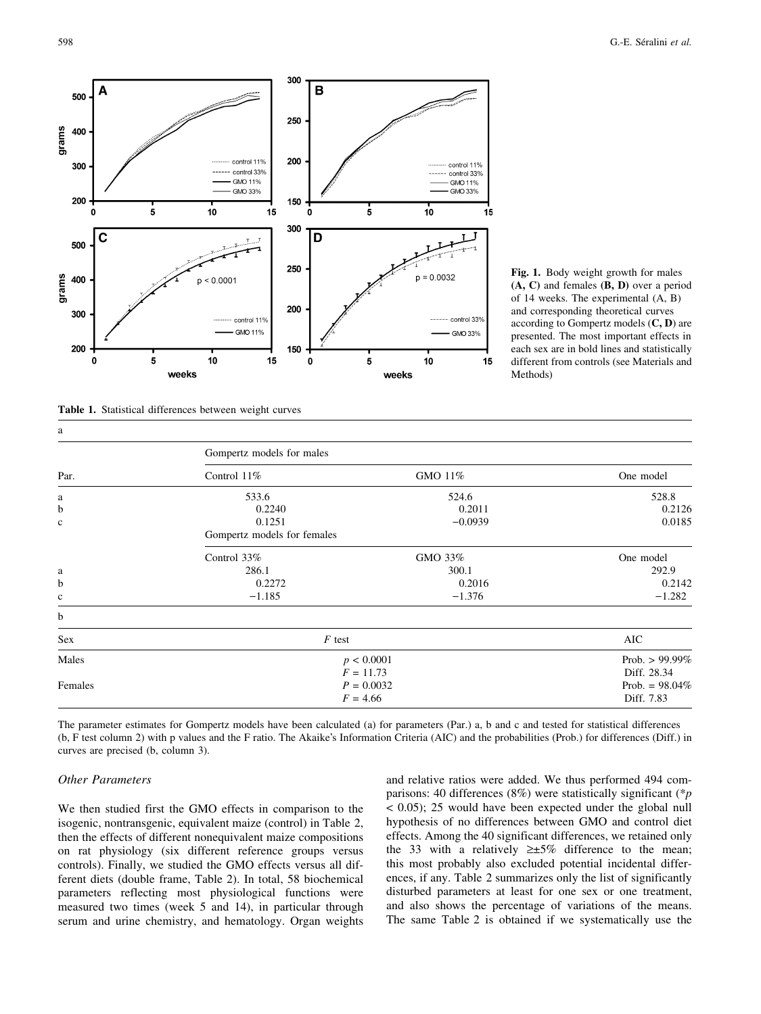

Fig. 1. Body weight growth for males  $(A, C)$  and females  $(B, D)$  over a period of 14 weeks. The experimental (A, B) and corresponding theoretical curves according to Gompertz models  $(C, D)$  are presented. The most important effects in each sex are in bold lines and statistically different from controls (see Materials and Methods)

Table 1. Statistical differences between weight curves

| a           |                             |                   |           |  |  |  |
|-------------|-----------------------------|-------------------|-----------|--|--|--|
|             | Gompertz models for males   |                   |           |  |  |  |
| Par.        | Control $11\%$              | GMO 11%           | One model |  |  |  |
| a           | 533.6                       | 524.6             | 528.8     |  |  |  |
| b           | 0.2240                      | 0.2011            | 0.2126    |  |  |  |
| $\mathbf c$ | 0.1251                      | $-0.0939$         | 0.0185    |  |  |  |
|             | Gompertz models for females |                   |           |  |  |  |
|             | Control 33%                 | GMO 33%           | One model |  |  |  |
| a           | 286.1                       | 300.1             | 292.9     |  |  |  |
| b           | 0.2272                      | 0.2016            | 0.2142    |  |  |  |
| $\mathbf c$ | $-1.185$                    | $-1.376$          | $-1.282$  |  |  |  |
| b           |                             |                   |           |  |  |  |
| Sex         | $F$ test                    | AIC               |           |  |  |  |
| Males       | p < 0.0001                  | Prob. $> 99.99\%$ |           |  |  |  |
|             | $F = 11.73$                 | Diff. 28.34       |           |  |  |  |
| Females     | $P = 0.0032$                | Prob. = $98.04\%$ |           |  |  |  |
|             | $F = 4.66$                  | Diff. 7.83        |           |  |  |  |

The parameter estimates for Gompertz models have been calculated (a) for parameters (Par.) a, b and c and tested for statistical differences (b, F test column 2) with p values and the F ratio. The Akaike's Information Criteria (AIC) and the probabilities (Prob.) for differences (Diff.) in curves are precised (b, column 3).

#### Other Parameters

We then studied first the GMO effects in comparison to the isogenic, nontransgenic, equivalent maize (control) in Table 2, then the effects of different nonequivalent maize compositions on rat physiology (six different reference groups versus controls). Finally, we studied the GMO effects versus all different diets (double frame, Table 2). In total, 58 biochemical parameters reflecting most physiological functions were measured two times (week 5 and 14), in particular through serum and urine chemistry, and hematology. Organ weights and relative ratios were added. We thus performed 494 comparisons: 40 differences (8%) were statistically significant (\*p < 0.05); 25 would have been expected under the global null hypothesis of no differences between GMO and control diet effects. Among the 40 significant differences, we retained only the 33 with a relatively  $\geq 5\%$  difference to the mean; this most probably also excluded potential incidental differences, if any. Table 2 summarizes only the list of significantly disturbed parameters at least for one sex or one treatment, and also shows the percentage of variations of the means. The same Table 2 is obtained if we systematically use the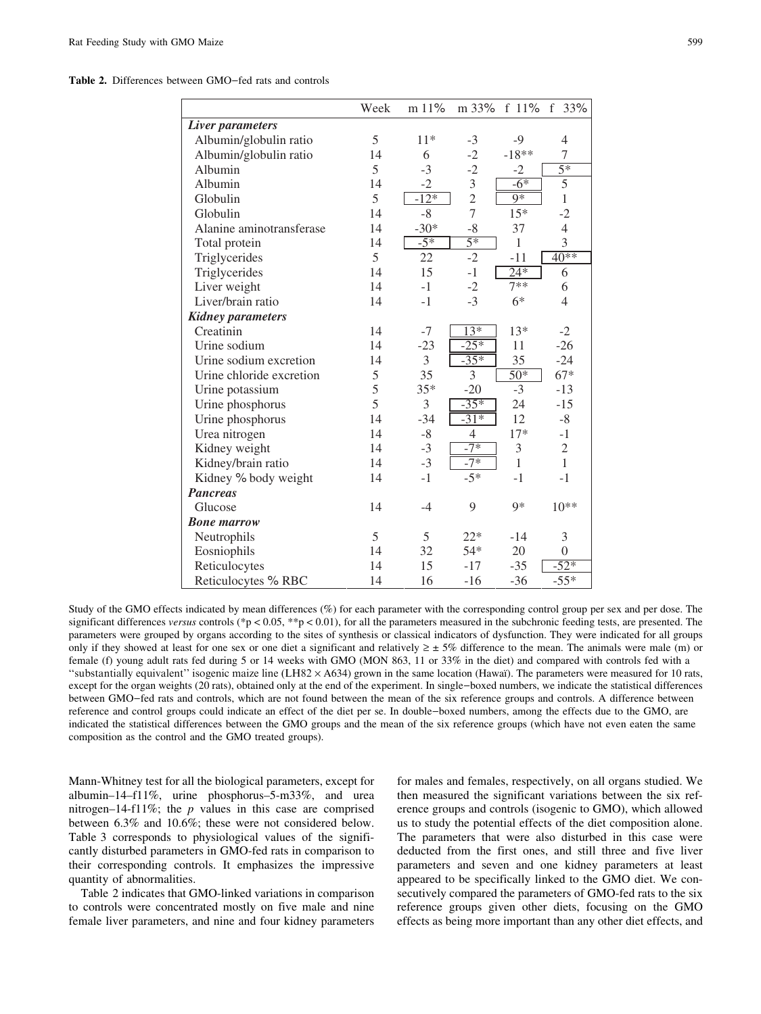Table 2. Differences between GMO-fed rats and controls

|                          | Week | m 11%  | m 33%           | f $11%$        | f<br>33%         |
|--------------------------|------|--------|-----------------|----------------|------------------|
| Liver parameters         |      |        |                 |                |                  |
| Albumin/globulin ratio   | 5    | $11*$  | $-3$            | $-9$           | 4                |
| Albumin/globulin ratio   | 14   | 6      | $-2$            | $-18**$        | 7                |
| Albumin                  | 5    | $-3$   | $-2$            | $-2$           | $\overline{5^*}$ |
| Albumin                  | 14   | $-2$   | 3               | $-6*$          | 5                |
| Globulin                 | 5    | $-12*$ | $\overline{2}$  | $9*$           | $\overline{1}$   |
| Globulin                 | 14   | $-8$   | $\overline{7}$  | $15*$          | $-2$             |
| Alanine aminotransferase | 14   | $-30*$ | $-8$            | 37             | $\overline{4}$   |
| Total protein            | 14   | $-5*$  | $\overline{5*}$ | 1              | 3                |
| Triglycerides            | 5    | 22     | $-2$            | $-11$          | $40**$           |
| Triglycerides            | 14   | 15     | $-1$            | $24*$          | 6                |
| Liver weight             | 14   | $-1$   | $-2$            | $7**$          | 6                |
| Liver/brain ratio        | 14   | $-1$   | $-3$            | $6*$           | $\overline{4}$   |
| <b>Kidney parameters</b> |      |        |                 |                |                  |
| Creatinin                | 14   | $-7$   | $13*$           | $13*$          | $-2$             |
| Urine sodium             | 14   | $-23$  | $-25*$          | 11             | $-26$            |
| Urine sodium excretion   | 14   | 3      | $-35*$          | 35             | $-24$            |
| Urine chloride excretion | 5    | 35     | 3               | $50*$          | $67*$            |
| Urine potassium          | 5    | $35*$  | $-20$           | $-3$           | $-13$            |
| Urine phosphorus         | 5    | 3      | $-35*$          | 24             | $-15$            |
| Urine phosphorus         | 14   | $-34$  | $-31*$          | 12             | $-8$             |
| Urea nitrogen            | 14   | $-8$   | $\overline{4}$  | $17*$          | $-1$             |
| Kidney weight            | 14   | $-3$   | $-7*$           | $\mathfrak{Z}$ | $\sqrt{2}$       |
| Kidney/brain ratio       | 14   | $-3$   | $-7*$           | $\mathbf{1}$   | $\mathbf{1}$     |
| Kidney % body weight     | 14   | $-1$   | $-5*$           | $-1$           | $-1$             |
| <b>Pancreas</b>          |      |        |                 |                |                  |
| Glucose                  | 14   | $-4$   | 9               | $9*$           | $10**$           |
| <b>Bone marrow</b>       |      |        |                 |                |                  |
| Neutrophils              | 5    | 5      | $22*$           | $-14$          | 3                |
| Eosniophils              | 14   | 32     | $54*$           | 20             | $\theta$         |
| Reticulocytes            | 14   | 15     | $-17$           | $-35$          | $-52*$           |
| Reticulocytes % RBC      | 14   | 16     | $-16$           | $-36$          | $-55*$           |

Study of the GMO effects indicated by mean differences (%) for each parameter with the corresponding control group per sex and per dose. The significant differences versus controls (\*p < 0.05, \*\*p < 0.01), for all the parameters measured in the subchronic feeding tests, are presented. The parameters were grouped by organs according to the sites of synthesis or classical indicators of dysfunction. They were indicated for all groups only if they showed at least for one sex or one diet a significant and relatively  $\geq \pm 5\%$  difference to the mean. The animals were male (m) or female (f) young adult rats fed during 5 or 14 weeks with GMO (MON 863, 11 or 33% in the diet) and compared with controls fed with a "substantially equivalent" isogenic maize line (LH82  $\times$  A634) grown in the same location (Hawai). The parameters were measured for 10 rats, except for the organ weights (20 rats), obtained only at the end of the experiment. In single-boxed numbers, we indicate the statistical differences between GMO-fed rats and controls, which are not found between the mean of the six reference groups and controls. A difference between reference and control groups could indicate an effect of the diet per se. In double-boxed numbers, among the effects due to the GMO, are indicated the statistical differences between the GMO groups and the mean of the six reference groups (which have not even eaten the same composition as the control and the GMO treated groups).

Mann-Whitney test for all the biological parameters, except for albumin–14–f11%, urine phosphorus–5-m33%, and urea nitrogen–14-f11%; the  $p$  values in this case are comprised between 6.3% and 10.6%; these were not considered below. Table 3 corresponds to physiological values of the significantly disturbed parameters in GMO-fed rats in comparison to their corresponding controls. It emphasizes the impressive quantity of abnormalities.

Table 2 indicates that GMO-linked variations in comparison to controls were concentrated mostly on five male and nine female liver parameters, and nine and four kidney parameters

for males and females, respectively, on all organs studied. We then measured the significant variations between the six reference groups and controls (isogenic to GMO), which allowed us to study the potential effects of the diet composition alone. The parameters that were also disturbed in this case were deducted from the first ones, and still three and five liver parameters and seven and one kidney parameters at least appeared to be specifically linked to the GMO diet. We consecutively compared the parameters of GMO-fed rats to the six reference groups given other diets, focusing on the GMO effects as being more important than any other diet effects, and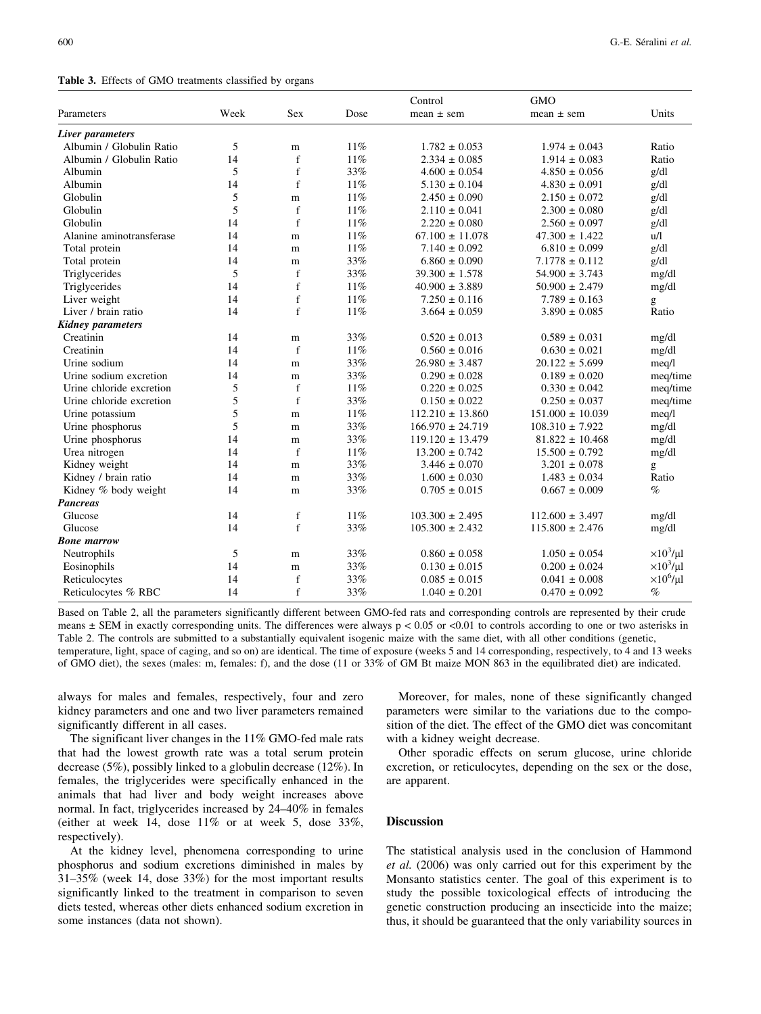Table 3. Effects of GMO treatments classified by organs

|                          |      |             |      | Control              | <b>GMO</b>           |                     |
|--------------------------|------|-------------|------|----------------------|----------------------|---------------------|
| Parameters               | Week | <b>Sex</b>  | Dose | $mean \pm sem$       | $mean \pm sem$       | Units               |
| Liver parameters         |      |             |      |                      |                      |                     |
| Albumin / Globulin Ratio | 5    | m           | 11%  | $1.782 \pm 0.053$    | $1.974 \pm 0.043$    | Ratio               |
| Albumin / Globulin Ratio | 14   | f           | 11%  | $2.334 \pm 0.085$    | $1.914 \pm 0.083$    | Ratio               |
| Albumin                  | 5    | $\mathbf f$ | 33%  | $4.600 \pm 0.054$    | $4.850 \pm 0.056$    | g/dl                |
| Albumin                  | 14   | $\mathbf f$ | 11%  | $5.130 \pm 0.104$    | $4.830 \pm 0.091$    | g/dl                |
| Globulin                 | 5    | m           | 11%  | $2.450 \pm 0.090$    | $2.150 \pm 0.072$    | g/dl                |
| Globulin                 | 5    | $\mathbf f$ | 11%  | $2.110 \pm 0.041$    | $2.300 \pm 0.080$    | g/dl                |
| Globulin                 | 14   | f           | 11%  | $2.220 \pm 0.080$    | $2.560 \pm 0.097$    | g/dl                |
| Alanine aminotransferase | 14   | m           | 11%  | $67.100 \pm 11.078$  | $47.300 \pm 1.422$   | u/l                 |
| Total protein            | 14   | m           | 11%  | $7.140 \pm 0.092$    | $6.810 \pm 0.099$    | g/dl                |
| Total protein            | 14   | m           | 33%  | $6.860 \pm 0.090$    | $7.1778 \pm 0.112$   | g/dl                |
| Triglycerides            | 5    | f           | 33%  | $39.300 \pm 1.578$   | $54.900 \pm 3.743$   | mg/dl               |
| Triglycerides            | 14   | f           | 11%  | $40.900 \pm 3.889$   | $50.900 \pm 2.479$   | mg/dl               |
| Liver weight             | 14   | $\mathbf f$ | 11%  | $7.250 \pm 0.116$    | $7.789 \pm 0.163$    | g                   |
| Liver / brain ratio      | 14   | f           | 11%  | $3.664 \pm 0.059$    | $3.890 \pm 0.085$    | Ratio               |
| Kidney parameters        |      |             |      |                      |                      |                     |
| Creatinin                | 14   | ${\bf m}$   | 33%  | $0.520 \pm 0.013$    | $0.589 \pm 0.031$    | mg/dl               |
| Creatinin                | 14   | f           | 11%  | $0.560 \pm 0.016$    | $0.630 \pm 0.021$    | mg/dl               |
| Urine sodium             | 14   | ${\bf m}$   | 33%  | $26.980 \pm 3.487$   | $20.122 \pm 5.699$   | meq/l               |
| Urine sodium excretion   | 14   | ${\bf m}$   | 33%  | $0.290 \pm 0.028$    | $0.189 \pm 0.020$    | meg/time            |
| Urine chloride excretion | 5    | $\mathbf f$ | 11%  | $0.220 \pm 0.025$    | $0.330 \pm 0.042$    | meq/time            |
| Urine chloride excretion | 5    | $\mathbf f$ | 33%  | $0.150 \pm 0.022$    | $0.250 \pm 0.037$    | meq/time            |
| Urine potassium          | 5    | m           | 11%  | $112.210 \pm 13.860$ | $151.000 \pm 10.039$ | meq/l               |
| Urine phosphorus         | 5    | m           | 33%  | $166.970 \pm 24.719$ | $108.310 \pm 7.922$  | mg/dl               |
| Urine phosphorus         | 14   | m           | 33%  | $119.120 \pm 13.479$ | $81.822 \pm 10.468$  | mg/dl               |
| Urea nitrogen            | 14   | $\mathbf f$ | 11%  | $13.200 \pm 0.742$   | $15.500 \pm 0.792$   | mg/dl               |
| Kidney weight            | 14   | m           | 33%  | $3.446 \pm 0.070$    | $3.201 \pm 0.078$    | g                   |
| Kidney / brain ratio     | 14   | m           | 33%  | $1.600 \pm 0.030$    | $1.483 \pm 0.034$    | Ratio               |
| Kidney % body weight     | 14   | m           | 33%  | $0.705 \pm 0.015$    | $0.667 \pm 0.009$    | $\%$                |
| Pancreas                 |      |             |      |                      |                      |                     |
| Glucose                  | 14   | $\mathbf f$ | 11%  | $103.300 \pm 2.495$  | $112.600 \pm 3.497$  | mg/dl               |
| Glucose                  | 14   | $\mathbf f$ | 33%  | $105.300 \pm 2.432$  | $115.800 \pm 2.476$  | mg/dl               |
| Bone marrow              |      |             |      |                      |                      |                     |
| Neutrophils              | 5    | m           | 33%  | $0.860 \pm 0.058$    | $1.050 \pm 0.054$    | $\times 10^3/\mu l$ |
| Eosinophils              | 14   | m           | 33%  | $0.130 \pm 0.015$    | $0.200 \pm 0.024$    | $\times 10^3/\mu l$ |
| Reticulocytes            | 14   | f           | 33%  | $0.085 \pm 0.015$    | $0.041 \pm 0.008$    | $\times 10^6$ /µl   |
| Reticulocytes % RBC      | 14   | $\mathbf f$ | 33%  | $1.040 \pm 0.201$    | $0.470 \pm 0.092$    | $\%$                |

Based on Table 2, all the parameters significantly different between GMO-fed rats and corresponding controls are represented by their crude means  $\pm$  SEM in exactly corresponding units. The differences were always  $p < 0.05$  or <0.01 to controls according to one or two asterisks in Table 2. The controls are submitted to a substantially equivalent isogenic maize with the same diet, with all other conditions (genetic, temperature, light, space of caging, and so on) are identical. The time of exposure (weeks 5 and 14 corresponding, respectively, to 4 and 13 weeks of GMO diet), the sexes (males: m, females: f), and the dose (11 or 33% of GM Bt maize MON 863 in the equilibrated diet) are indicated.

always for males and females, respectively, four and zero kidney parameters and one and two liver parameters remained significantly different in all cases.

The significant liver changes in the 11% GMO-fed male rats that had the lowest growth rate was a total serum protein decrease (5%), possibly linked to a globulin decrease (12%). In females, the triglycerides were specifically enhanced in the animals that had liver and body weight increases above normal. In fact, triglycerides increased by 24–40% in females (either at week 14, dose  $11\%$  or at week 5, dose  $33\%$ , respectively).

At the kidney level, phenomena corresponding to urine phosphorus and sodium excretions diminished in males by 31–35% (week 14, dose 33%) for the most important results significantly linked to the treatment in comparison to seven diets tested, whereas other diets enhanced sodium excretion in some instances (data not shown).

Moreover, for males, none of these significantly changed parameters were similar to the variations due to the composition of the diet. The effect of the GMO diet was concomitant with a kidney weight decrease.

Other sporadic effects on serum glucose, urine chloride excretion, or reticulocytes, depending on the sex or the dose, are apparent.

# Discussion

The statistical analysis used in the conclusion of Hammond et al. (2006) was only carried out for this experiment by the Monsanto statistics center. The goal of this experiment is to study the possible toxicological effects of introducing the genetic construction producing an insecticide into the maize; thus, it should be guaranteed that the only variability sources in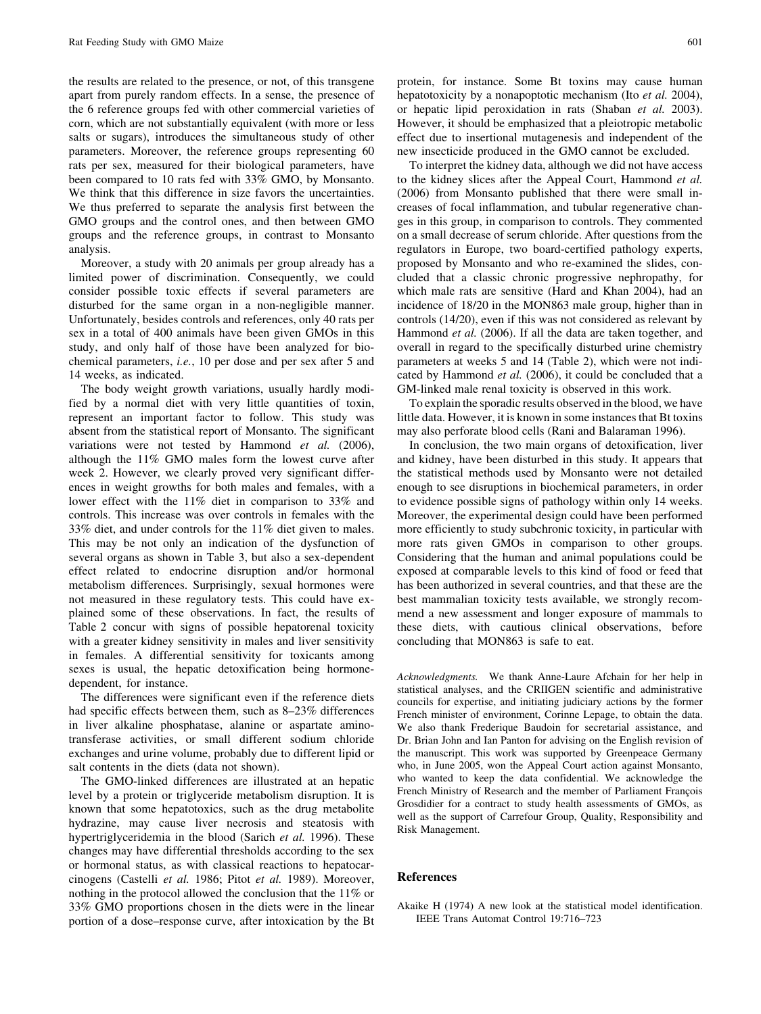the results are related to the presence, or not, of this transgene apart from purely random effects. In a sense, the presence of the 6 reference groups fed with other commercial varieties of corn, which are not substantially equivalent (with more or less salts or sugars), introduces the simultaneous study of other parameters. Moreover, the reference groups representing 60 rats per sex, measured for their biological parameters, have been compared to 10 rats fed with 33% GMO, by Monsanto. We think that this difference in size favors the uncertainties. We thus preferred to separate the analysis first between the GMO groups and the control ones, and then between GMO groups and the reference groups, in contrast to Monsanto analysis.

Moreover, a study with 20 animals per group already has a limited power of discrimination. Consequently, we could consider possible toxic effects if several parameters are disturbed for the same organ in a non-negligible manner. Unfortunately, besides controls and references, only 40 rats per sex in a total of 400 animals have been given GMOs in this study, and only half of those have been analyzed for biochemical parameters, i.e., 10 per dose and per sex after 5 and 14 weeks, as indicated.

The body weight growth variations, usually hardly modified by a normal diet with very little quantities of toxin, represent an important factor to follow. This study was absent from the statistical report of Monsanto. The significant variations were not tested by Hammond et al. (2006), although the 11% GMO males form the lowest curve after week 2. However, we clearly proved very significant differences in weight growths for both males and females, with a lower effect with the 11% diet in comparison to 33% and controls. This increase was over controls in females with the 33% diet, and under controls for the 11% diet given to males. This may be not only an indication of the dysfunction of several organs as shown in Table 3, but also a sex-dependent effect related to endocrine disruption and/or hormonal metabolism differences. Surprisingly, sexual hormones were not measured in these regulatory tests. This could have explained some of these observations. In fact, the results of Table 2 concur with signs of possible hepatorenal toxicity with a greater kidney sensitivity in males and liver sensitivity in females. A differential sensitivity for toxicants among sexes is usual, the hepatic detoxification being hormonedependent, for instance.

The differences were significant even if the reference diets had specific effects between them, such as 8–23% differences in liver alkaline phosphatase, alanine or aspartate aminotransferase activities, or small different sodium chloride exchanges and urine volume, probably due to different lipid or salt contents in the diets (data not shown).

The GMO-linked differences are illustrated at an hepatic level by a protein or triglyceride metabolism disruption. It is known that some hepatotoxics, such as the drug metabolite hydrazine, may cause liver necrosis and steatosis with hypertriglyceridemia in the blood (Sarich *et al.* 1996). These changes may have differential thresholds according to the sex or hormonal status, as with classical reactions to hepatocarcinogens (Castelli et al. 1986; Pitot et al. 1989). Moreover, nothing in the protocol allowed the conclusion that the 11% or 33% GMO proportions chosen in the diets were in the linear portion of a dose–response curve, after intoxication by the Bt

protein, for instance. Some Bt toxins may cause human hepatotoxicity by a nonapoptotic mechanism (Ito et al. 2004), or hepatic lipid peroxidation in rats (Shaban et al. 2003). However, it should be emphasized that a pleiotropic metabolic effect due to insertional mutagenesis and independent of the new insecticide produced in the GMO cannot be excluded.

To interpret the kidney data, although we did not have access to the kidney slices after the Appeal Court, Hammond et al. (2006) from Monsanto published that there were small increases of focal inflammation, and tubular regenerative changes in this group, in comparison to controls. They commented on a small decrease of serum chloride. After questions from the regulators in Europe, two board-certified pathology experts, proposed by Monsanto and who re-examined the slides, concluded that a classic chronic progressive nephropathy, for which male rats are sensitive (Hard and Khan 2004), had an incidence of 18/20 in the MON863 male group, higher than in controls (14/20), even if this was not considered as relevant by Hammond *et al.* (2006). If all the data are taken together, and overall in regard to the specifically disturbed urine chemistry parameters at weeks 5 and 14 (Table 2), which were not indicated by Hammond et al. (2006), it could be concluded that a GM-linked male renal toxicity is observed in this work.

To explain the sporadic results observed in the blood, we have little data. However, it is known in some instances that Bt toxins may also perforate blood cells (Rani and Balaraman 1996).

In conclusion, the two main organs of detoxification, liver and kidney, have been disturbed in this study. It appears that the statistical methods used by Monsanto were not detailed enough to see disruptions in biochemical parameters, in order to evidence possible signs of pathology within only 14 weeks. Moreover, the experimental design could have been performed more efficiently to study subchronic toxicity, in particular with more rats given GMOs in comparison to other groups. Considering that the human and animal populations could be exposed at comparable levels to this kind of food or feed that has been authorized in several countries, and that these are the best mammalian toxicity tests available, we strongly recommend a new assessment and longer exposure of mammals to these diets, with cautious clinical observations, before concluding that MON863 is safe to eat.

Acknowledgments. We thank Anne-Laure Afchain for her help in statistical analyses, and the CRIIGEN scientific and administrative councils for expertise, and initiating judiciary actions by the former French minister of environment, Corinne Lepage, to obtain the data. We also thank Frederique Baudoin for secretarial assistance, and Dr. Brian John and Ian Panton for advising on the English revision of the manuscript. This work was supported by Greenpeace Germany who, in June 2005, won the Appeal Court action against Monsanto, who wanted to keep the data confidential. We acknowledge the French Ministry of Research and the member of Parliament François Grosdidier for a contract to study health assessments of GMOs, as well as the support of Carrefour Group, Quality, Responsibility and Risk Management.

### References

Akaike H (1974) A new look at the statistical model identification. IEEE Trans Automat Control 19:716–723